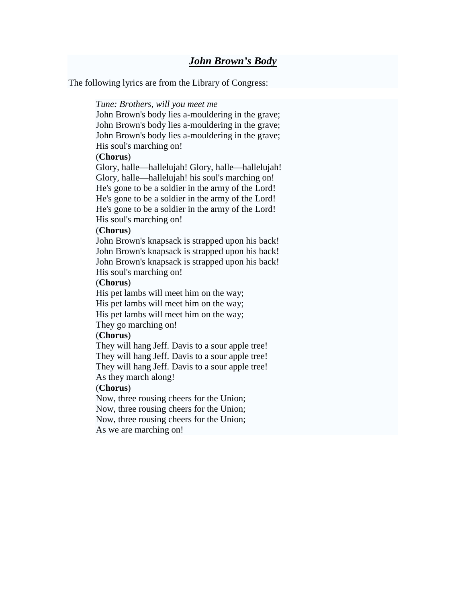The following lyrics are from the [Library of Congress:](http://en.wikipedia.org/wiki/Library_of_Congress)

#### *Tune: Brothers, will you meet me*

John Brown's body lies a-mouldering in the grave; John Brown's body lies a-mouldering in the grave; John Brown's body lies a-mouldering in the grave; His soul's marching on!

#### (**Chorus**)

[Glory,](http://en.wikipedia.org/wiki/Glory_%28religion%29) halle[—hallelujah!](http://en.wikipedia.org/wiki/Hallelujah) Glory, halle—hallelujah! Glory, halle—hallelujah! his soul's marching on! He's gone to be a soldier in the army of the Lord! He's gone to be a soldier in the army of the Lord! He's gone to be a soldier in the army of the Lord! His soul's marching on!

## (**Chorus**)

John Brown's knapsack is strapped upon his back! John Brown's knapsack is strapped upon his back! John Brown's knapsack is strapped upon his back! His soul's marching on!

#### (**Chorus**)

His pet lambs will meet him on the way;

His pet lambs will meet him on the way;

His pet lambs will meet him on the way;

They go marching on!

# (**Chorus**)

They will hang [Jeff. Davis](http://en.wikipedia.org/wiki/Jefferson_Davis) to a sour apple tree! They will hang Jeff. Davis to a sour apple tree! They will hang Jeff. Davis to a sour apple tree! As they march along!

## (**Chorus**)

Now, three rousing cheers for the Union; Now, three rousing cheers for the Union; Now, three rousing cheers for the Union; As we are marching on!